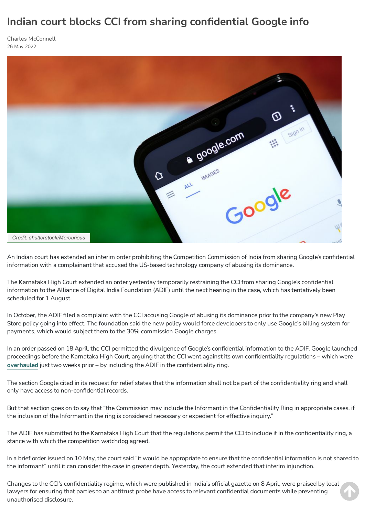## **Indian court blocks CCI from sharing confidential Google info**

Charles [McConnell](https://globalcompetitionreview.com/authors/charles-mcconnell) 26 May 2022



An Indian court has extended an interim order prohibiting the Competition Commission of India from sharing Google's confidential information with a complainant that accused the US-based technology company of abusing its dominance.

The Karnataka High Court extended an order yesterday temporarily restraining the CCI from sharing Google's confidential information to the Alliance of Digital India Foundation (ADIF) until the next hearing in the case, which has tentatively been scheduled for 1 August.

In October, the ADIF filed a complaint with the CCI accusing Google of abusing its dominance prior to the company's new Play Store policy going into effect. The foundation said the new policy would force developers to only use Google's billing system for payments, which would subject them to the 30% commission Google charges.

In an order passed on 18 April, the CCI permitted the divulgence of Google's confidential information to the ADIF. Google launched proceedings before the Karnataka High Court, arguing that the CCI went against its own confidentiality regulations – which were **[overhauled](https://globalcompetitionreview.com/due-process/indias-antitrust-authority-overhauls-confidentiality-regime)** just two weeks prior – by including the ADIF in the confidentiality ring.

The section Google cited in its request for relief states that the information shall not be part of the confidentiality ring and shall only have access to non-confidential records.

But that section goes on to say that "the Commission may include the Informant in the Confidentiality Ring in appropriate cases, if the inclusion of the Informant in the ring is considered necessary or expedient for effective inquiry."

The ADIF has submitted to the Karnataka High Court that the regulations permit the CCI to include it in the confidentiality ring, a stance with which the competition watchdog agreed.

In a brief order issued on 10 May, the court said "it would be appropriate to ensure that the confidential information is not shared to the informant" until it can consider the case in greater depth. Yesterday, the court extended that interim injunction.

Changes to the CCI's confidentiality regime, which were published in India's official gazette on 8 April, were praised by local lawyers for ensuring that parties to an antitrust probe have access to relevant confidential documents while preventing unauthorised disclosure.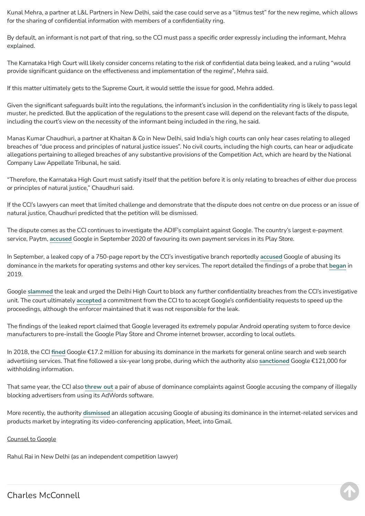Kunal Mehra, a partner at L&L Partners in New Delhi, said the case could serve as a "litmus test" for the new regime, which allows for the sharing of confidential information with members of a confidentiality ring.

By default, an informant is not part of that ring, so the CCI must pass a specific order expressly including the informant, Mehra explained.

The Karnataka High Court will likely consider concerns relating to the risk of confidential data being leaked, and a ruling "would provide significant guidance on the effectiveness and implementation of the regime", Mehra said.

If this matter ultimately gets to the Supreme Court, it would settle the issue for good, Mehra added.

Given the significant safeguards built into the regulations, the informant's inclusion in the confidentiality ring is likely to pass legal muster, he predicted. But the application of the regulations to the present case will depend on the relevant facts of the dispute, including the court's view on the necessity of the informant being included in the ring, he said.

Manas Kumar Chaudhuri, a partner at Khaitan & Co in New Delhi, said India's high courts can only hear cases relating to alleged breaches of "due process and principles of natural justice issues". No civil courts, including the high courts, can hear or adjudicate allegations pertaining to alleged breaches of any substantive provisions of the Competition Act, which are heard by the National Company Law Appellate Tribunal, he said.

"Therefore, the Karnataka High Court must satisfy itself that the petition before it is only relating to breaches of either due process or principles of natural justice," Chaudhuri said.

If the CCI's lawyers can meet that limited challenge and demonstrate that the dispute does not centre on due process or an issue of natural justice, Chaudhuri predicted that the petition will be dismissed.

The dispute comes as the CCI continues to investigate the ADIF's complaint against Google. The country's largest e-payment service, Paytm, **[accused](https://globalcompetitionreview.com/digital-markets/indias-largest-e-payment-service-joins-fight-against-google)** Google in September 2020 of favouring its own payment services in its Play Store.

In September, a leaked copy of a 750-page report by the CCI's investigative branch reportedly **[accused](https://globalcompetitionreview.com/market-sharing/cci-investigative-unit-says-google-abused-its-dominance-over-android)** Google of abusing its dominance in the markets for operating systems and other key services. The report detailed the findings of a probe that **[began](https://globalcompetitionreview.com/india-probes-googles-android-leveraging)** in 2019.

Google **[slammed](https://globalcompetitionreview.com/digital-markets/google-slams-leaked-cci-investigative-report)** the leak and urged the Delhi High Court to block any further confidentiality breaches from the CCI's investigative unit. The court ultimately **[accepted](https://globalcompetitionreview.com/digital-markets/indian-court-accepts-cci-commitment-in-google-complaint)** a commitment from the CCI to to accept Google's confidentiality requests to speed up the proceedings, although the enforcer maintained that it was not responsible for the leak.

The findings of the leaked report claimed that Google leveraged its extremely popular Android operating system to force device manufacturers to pre-install the Google Play Store and Chrome internet browser, according to local outlets.

In 2018, the CCI **[fined](https://globalcompetitionreview.com/google-fined-abusing-dominance-in-online-search)** Google €17.2 million for abusing its dominance in the markets for general online search and web search advertising services. That fine followed a six-year long probe, during which the authority also **[sanctioned](https://globalcompetitionreview.com/cci-fines-google-non-cooperation)** Google €121,000 for withholding information.

That same year, the CCI also **[threw](https://globalcompetitionreview.com/google-escapes-abuse-findings-in-india) out** a pair of abuse of dominance complaints against Google accusing the company of illegally blocking advertisers from using its AdWords software.

More recently, the authority **[dismissed](https://globalcompetitionreview.com/digital-markets/indian-enforcer-axes-google-meet-complaint)** an allegation accusing Google of abusing its dominance in the internet-related services and products market by integrating its video-conferencing application, Meet, into Gmail.

## Counsel to Google

Rahul Rai in New Delhi (as an independent competition lawyer)